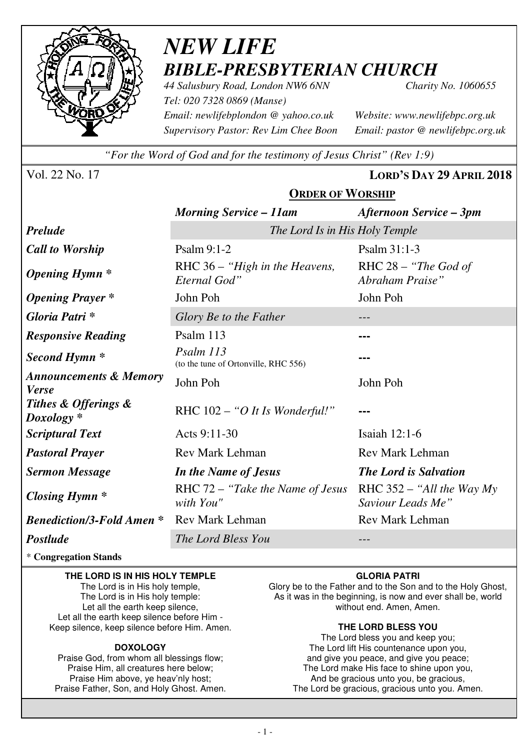

# *NEW LIFE BIBLE-PRESBYTERIAN CHURCH*

**ORDER OF WORSHIP**

*44 Salusbury Road, London NW6 6NN Charity No. 1060655 Tel: 020 7328 0869 (Manse) Email: newlifebplondon @ yahoo.co.uk Website: www.newlifebpc.org.uk Supervisory Pastor: Rev Lim Chee Boon Email: pastor @ newlifebpc.org.uk* 

*"For the Word of God and for the testimony of Jesus Christ" (Rev 1:9)*

Vol. 22 No. 17 **LORD'S DAY 29 APRIL 2018**

|                                                   | <u>JADLIA OI 11 UADIM</u>                         |                                                  |  |
|---------------------------------------------------|---------------------------------------------------|--------------------------------------------------|--|
|                                                   | <b>Morning Service – 11am</b>                     | <b>Afternoon Service – 3pm</b>                   |  |
| <b>Prelude</b>                                    | The Lord Is in His Holy Temple                    |                                                  |  |
| <b>Call to Worship</b>                            | Psalm 9:1-2                                       | Psalm 31:1-3                                     |  |
| <b>Opening Hymn</b> *                             | RHC 36 – "High in the Heavens,<br>Eternal God"    | RHC $28 -$ "The God of<br>Abraham Praise"        |  |
| <b>Opening Prayer</b> *                           | John Poh                                          | John Poh                                         |  |
| Gloria Patri *                                    | Glory Be to the Father                            |                                                  |  |
| <b>Responsive Reading</b>                         | Psalm 113                                         |                                                  |  |
| Second Hymn <sup>*</sup>                          | Psalm 113<br>(to the tune of Ortonville, RHC 556) |                                                  |  |
| <b>Announcements &amp; Memory</b><br><b>Verse</b> | John Poh                                          | John Poh                                         |  |
| Tithes & Offerings &<br>$Doxology *$              | RHC $102 - "O It Is Wonderful!"$                  |                                                  |  |
| <b>Scriptural Text</b>                            | Acts 9:11-30                                      | Isaiah 12:1-6                                    |  |
| <b>Pastoral Prayer</b>                            | <b>Rev Mark Lehman</b>                            | <b>Rev Mark Lehman</b>                           |  |
| <b>Sermon Message</b>                             | In the Name of Jesus                              | <b>The Lord is Salvation</b>                     |  |
| Closing Hymn $*$                                  | RHC $72 -$ "Take the Name of Jesus"<br>with You"  | RHC $352 -$ "All the Way My<br>Saviour Leads Me" |  |
| <b>Benediction/3-Fold Amen *</b>                  | <b>Rev Mark Lehman</b>                            | <b>Rev Mark Lehman</b>                           |  |
| <b>Postlude</b>                                   | The Lord Bless You                                |                                                  |  |

### \* **Congregation Stands**

#### **THE LORD IS IN HIS HOLY TEMPLE**

The Lord is in His holy temple, The Lord is in His holy temple: Let all the earth keep silence, Let all the earth keep silence before Him - Keep silence, keep silence before Him. Amen.

### **DOXOLOGY**

Praise God, from whom all blessings flow; Praise Him, all creatures here below; Praise Him above, ye heav'nly host; Praise Father, Son, and Holy Ghost. Amen.

### **GLORIA PATRI**

Glory be to the Father and to the Son and to the Holy Ghost, As it was in the beginning, is now and ever shall be, world without end. Amen, Amen.

### **THE LORD BLESS YOU**

The Lord bless you and keep you; The Lord lift His countenance upon you, and give you peace, and give you peace; The Lord make His face to shine upon you, And be gracious unto you, be gracious, The Lord be gracious, gracious unto you. Amen.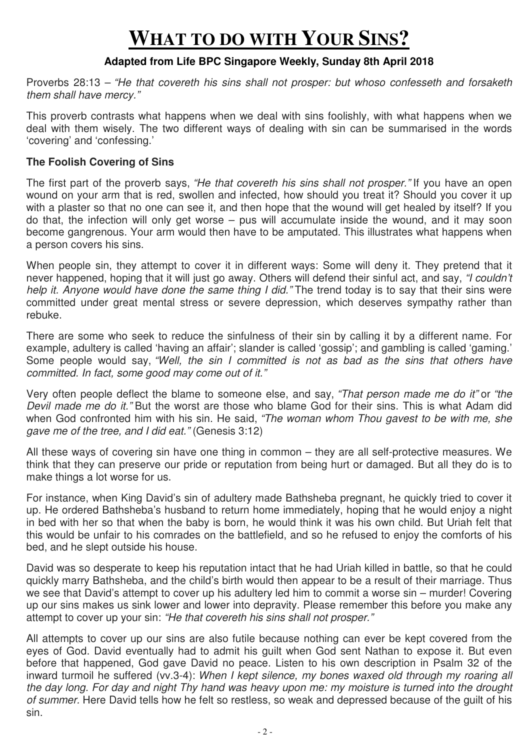# **WHAT TO DO WITH YOUR SINS?**

### **Adapted from Life BPC Singapore Weekly, Sunday 8th April 2018**

Proverbs 28:13 – "He that covereth his sins shall not prosper: but whoso confesseth and forsaketh them shall have mercy."

This proverb contrasts what happens when we deal with sins foolishly, with what happens when we deal with them wisely. The two different ways of dealing with sin can be summarised in the words 'covering' and 'confessing.'

### **The Foolish Covering of Sins**

The first part of the proverb says, "He that covereth his sins shall not prosper." If you have an open wound on your arm that is red, swollen and infected, how should you treat it? Should you cover it up with a plaster so that no one can see it, and then hope that the wound will get healed by itself? If you do that, the infection will only get worse – pus will accumulate inside the wound, and it may soon become gangrenous. Your arm would then have to be amputated. This illustrates what happens when a person covers his sins.

When people sin, they attempt to cover it in different ways: Some will deny it. They pretend that it never happened, hoping that it will just go away. Others will defend their sinful act, and say, "I couldn't help it. Anyone would have done the same thing I did." The trend today is to say that their sins were committed under great mental stress or severe depression, which deserves sympathy rather than rebuke.

There are some who seek to reduce the sinfulness of their sin by calling it by a different name. For example, adultery is called 'having an affair'; slander is called 'gossip'; and gambling is called 'gaming.' Some people would say, "Well, the sin I committed is not as bad as the sins that others have committed. In fact, some good may come out of it."

Very often people deflect the blame to someone else, and say, "That person made me do it" or "the Devil made me do it." But the worst are those who blame God for their sins. This is what Adam did when God confronted him with his sin. He said, "The woman whom Thou gavest to be with me, she gave me of the tree, and I did eat." (Genesis 3:12)

All these ways of covering sin have one thing in common – they are all self-protective measures. We think that they can preserve our pride or reputation from being hurt or damaged. But all they do is to make things a lot worse for us.

For instance, when King David's sin of adultery made Bathsheba pregnant, he quickly tried to cover it up. He ordered Bathsheba's husband to return home immediately, hoping that he would enjoy a night in bed with her so that when the baby is born, he would think it was his own child. But Uriah felt that this would be unfair to his comrades on the battlefield, and so he refused to enjoy the comforts of his bed, and he slept outside his house.

David was so desperate to keep his reputation intact that he had Uriah killed in battle, so that he could quickly marry Bathsheba, and the child's birth would then appear to be a result of their marriage. Thus we see that David's attempt to cover up his adultery led him to commit a worse sin – murder! Covering up our sins makes us sink lower and lower into depravity. Please remember this before you make any attempt to cover up your sin: "He that covereth his sins shall not prosper."

All attempts to cover up our sins are also futile because nothing can ever be kept covered from the eyes of God. David eventually had to admit his guilt when God sent Nathan to expose it. But even before that happened, God gave David no peace. Listen to his own description in Psalm 32 of the inward turmoil he suffered (vv.3-4): When I kept silence, my bones waxed old through my roaring all the day long. For day and night Thy hand was heavy upon me: my moisture is turned into the drought of summer. Here David tells how he felt so restless, so weak and depressed because of the guilt of his sin.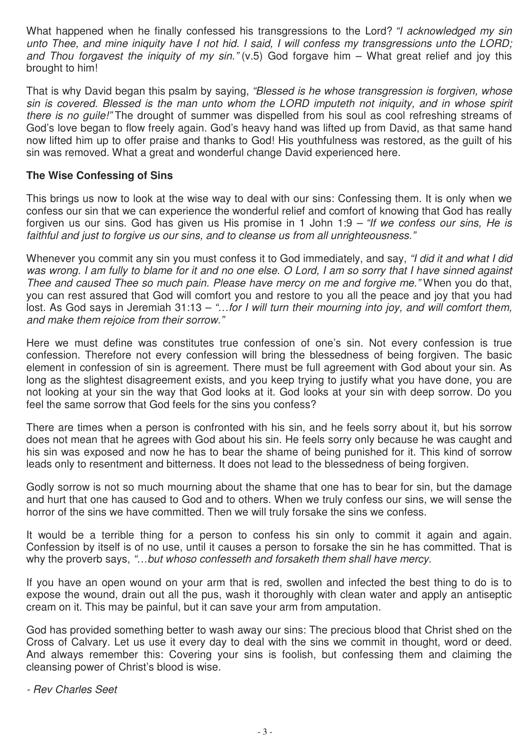What happened when he finally confessed his transgressions to the Lord? "I acknowledged my sin unto Thee, and mine iniquity have I not hid. I said, I will confess my transgressions unto the LORD; and Thou forgavest the iniquity of my sin."  $(v.5)$  God forgave him – What great relief and joy this brought to him!

That is why David began this psalm by saying, "Blessed is he whose transgression is forgiven, whose sin is covered. Blessed is the man unto whom the LORD imputeth not iniquity, and in whose spirit there is no quile!" The drought of summer was dispelled from his soul as cool refreshing streams of God's love began to flow freely again. God's heavy hand was lifted up from David, as that same hand now lifted him up to offer praise and thanks to God! His youthfulness was restored, as the guilt of his sin was removed. What a great and wonderful change David experienced here.

### **The Wise Confessing of Sins**

This brings us now to look at the wise way to deal with our sins: Confessing them. It is only when we confess our sin that we can experience the wonderful relief and comfort of knowing that God has really forgiven us our sins. God has given us His promise in 1 John 1:9 – "If we confess our sins, He is faithful and just to forgive us our sins, and to cleanse us from all unrighteousness."

Whenever you commit any sin you must confess it to God immediately, and say, "I did it and what I did was wrong. I am fully to blame for it and no one else. O Lord, I am so sorry that I have sinned against Thee and caused Thee so much pain. Please have mercy on me and forgive me." When you do that, you can rest assured that God will comfort you and restore to you all the peace and joy that you had lost. As God says in Jeremiah 31:13 – "...for I will turn their mourning into joy, and will comfort them, and make them rejoice from their sorrow."

Here we must define was constitutes true confession of one's sin. Not every confession is true confession. Therefore not every confession will bring the blessedness of being forgiven. The basic element in confession of sin is agreement. There must be full agreement with God about your sin. As long as the slightest disagreement exists, and you keep trying to justify what you have done, you are not looking at your sin the way that God looks at it. God looks at your sin with deep sorrow. Do you feel the same sorrow that God feels for the sins you confess?

There are times when a person is confronted with his sin, and he feels sorry about it, but his sorrow does not mean that he agrees with God about his sin. He feels sorry only because he was caught and his sin was exposed and now he has to bear the shame of being punished for it. This kind of sorrow leads only to resentment and bitterness. It does not lead to the blessedness of being forgiven.

Godly sorrow is not so much mourning about the shame that one has to bear for sin, but the damage and hurt that one has caused to God and to others. When we truly confess our sins, we will sense the horror of the sins we have committed. Then we will truly forsake the sins we confess.

It would be a terrible thing for a person to confess his sin only to commit it again and again. Confession by itself is of no use, until it causes a person to forsake the sin he has committed. That is why the proverb says, "...but whoso confesseth and forsaketh them shall have mercy.

If you have an open wound on your arm that is red, swollen and infected the best thing to do is to expose the wound, drain out all the pus, wash it thoroughly with clean water and apply an antiseptic cream on it. This may be painful, but it can save your arm from amputation.

God has provided something better to wash away our sins: The precious blood that Christ shed on the Cross of Calvary. Let us use it every day to deal with the sins we commit in thought, word or deed. And always remember this: Covering your sins is foolish, but confessing them and claiming the cleansing power of Christ's blood is wise.

- Rev Charles Seet